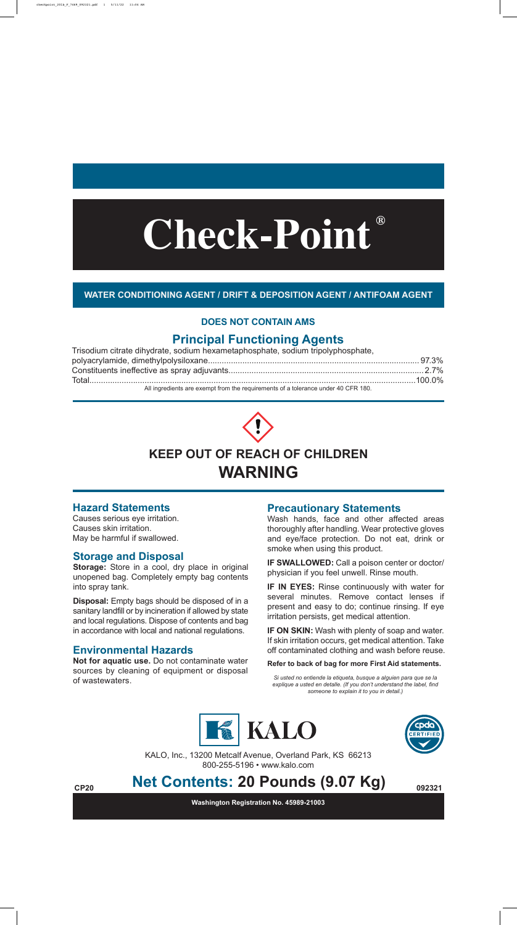#### **WATER CONDITIONING AGENT / DRIFT & DEPOSITION AGENT / ANTIFOAM AGENT**

### **Principal Functioning Agents**

| Trisodium citrate dihydrate, sodium hexametaphosphate, sodium tripolyphosphate,            |  |
|--------------------------------------------------------------------------------------------|--|
|                                                                                            |  |
|                                                                                            |  |
|                                                                                            |  |
| All the contracts are associated in the construction of a following construction ACCD 400. |  |

All ingredients are exempt from the requirements of a tolerance under 40 CFR 180.



## **WARNING**

#### **Hazard Statements**

Causes serious eye irritation. Causes skin irritation. May be harmful if swallowed.

> KALO, Inc., 13200 Metcalf Avenue, Overland Park, KS 66213 800-255-5196 • www.kalo.com

#### **Storage and Disposal**

**Storage:** Store in a cool, dry place in original unopened bag. Completely empty bag contents into spray tank.

> **IF ON SKIN:** Wash with plenty of soap and water. If skin irritation occurs, get medical attention. Take off contaminated clothing and wash before reuse.

**Disposal:** Empty bags should be disposed of in a sanitary landfill or by incineration if allowed by state and local regulations. Dispose of contents and bag in accordance with local and national regulations.

# **Check-Point ®**

#### **Environmental Hazards**

**Not for aquatic use.** Do not contaminate water sources by cleaning of equipment or disposal of wastewaters.

#### **Precautionary Statements**

Wash hands, face and other affected areas thoroughly after handling. Wear protective gloves and eye/face protection. Do not eat, drink or smoke when using this product.

**IF SWALLOWED:** Call a poison center or doctor/ physician if you feel unwell. Rinse mouth.

**IF IN EYES:** Rinse continuously with water for several minutes. Remove contact lenses if present and easy to do; continue rinsing. If eye irritation persists, get medical attention.

**Refer to back of bag for more First Aid statements.**

#### **DOES NOT CONTAIN AMS**

*Si usted no entiende la etiqueta, busque a alguien para que se la explique a usted en detalle. (If you don't understand the label, find someone to explain it to you in detail.)*





**Washington Registration No. 45989-21003**

# **Net Contents: 20 Pounds (9.07 Kg) CP20 092321 Net Contents:**